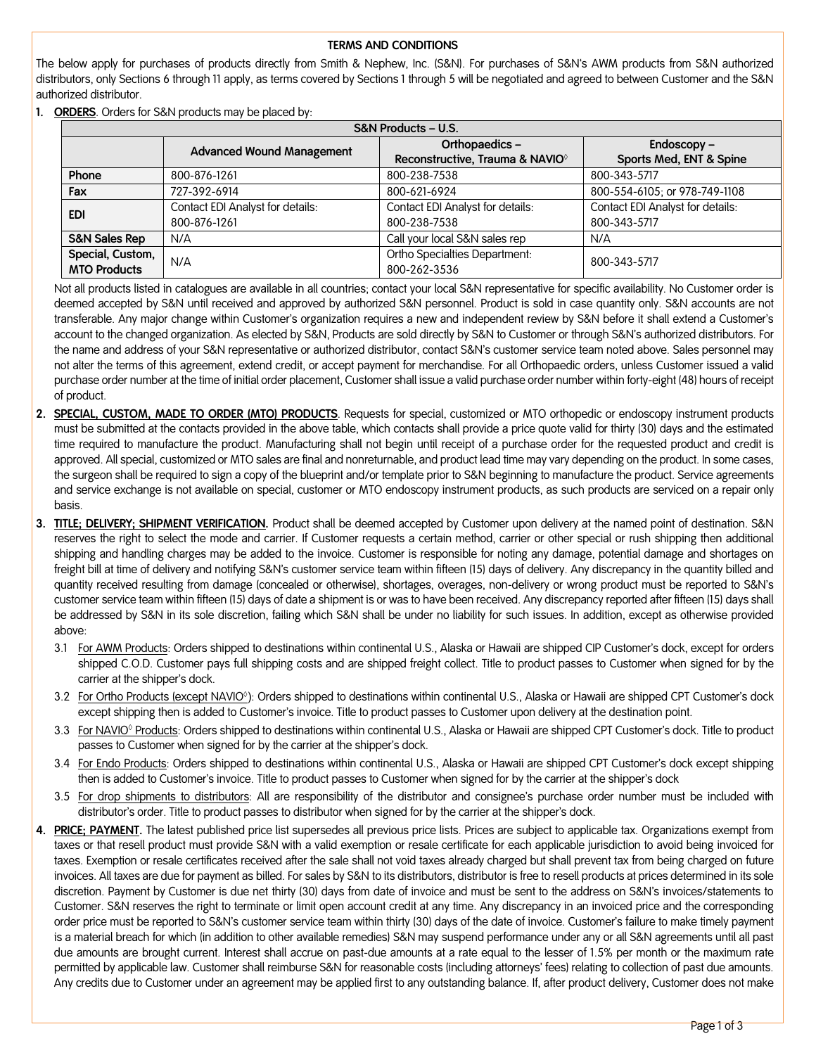## **TERMS AND CONDITIONS**

The below apply for purchases of products directly from Smith & Nephew, Inc. (S&N). For purchases of S&N's AWM products from S&N authorized distributors, only Sections 6 through 11 apply, as terms covered by Sections 1 through 5 will be negotiated and agreed to between Customer and the S&N authorized distributor.

**1. ORDERS**. Orders for S&N products may be placed by:

| S&N Products - U.S.      |                                  |                                             |                                  |
|--------------------------|----------------------------------|---------------------------------------------|----------------------------------|
|                          | <b>Advanced Wound Management</b> | Orthopaedics-                               | Endoscopy -                      |
|                          |                                  | Reconstructive, Trauma & NAVIO <sup>®</sup> | Sports Med, ENT & Spine          |
| Phone                    | 800-876-1261                     | 800-238-7538                                | 800-343-5717                     |
| Fax                      | 727-392-6914                     | 800-621-6924                                | 800-554-6105; or 978-749-1108    |
| <b>EDI</b>               | Contact EDI Analyst for details: | Contact EDI Analyst for details:            | Contact EDI Analyst for details: |
|                          | 800-876-1261                     | 800-238-7538                                | 800-343-5717                     |
| <b>S&amp;N Sales Rep</b> | N/A                              | Call your local S&N sales rep               | N/A                              |
| Special, Custom,         | N/A                              | Ortho Specialties Department:               | 800-343-5717                     |
| <b>MTO Products</b>      |                                  | 800-262-3536                                |                                  |

Not all products listed in catalogues are available in all countries; contact your local S&N representative for specific availability. No Customer order is deemed accepted by S&N until received and approved by authorized S&N personnel. Product is sold in case quantity only. S&N accounts are not transferable. Any major change within Customer's organization requires a new and independent review by S&N before it shall extend a Customer's account to the changed organization. As elected by S&N, Products are sold directly by S&N to Customer or through S&N's authorized distributors. For the name and address of your S&N representative or authorized distributor, contact S&N's customer service team noted above. Sales personnel may not alter the terms of this agreement, extend credit, or accept payment for merchandise. For all Orthopaedic orders, unless Customer issued a valid purchase order number at the time of initial order placement, Customer shall issue a valid purchase order number within forty-eight (48) hours of receipt of product.

- **2. SPECIAL, CUSTOM, MADE TO ORDER (MTO) PRODUCTS**. Requests for special, customized or MTO orthopedic or endoscopy instrument products must be submitted at the contacts provided in the above table, which contacts shall provide a price quote valid for thirty (30) days and the estimated time required to manufacture the product. Manufacturing shall not begin until receipt of a purchase order for the requested product and credit is approved. All special, customized or MTO sales are final and nonreturnable, and product lead time may vary depending on the product. In some cases, the surgeon shall be required to sign a copy of the blueprint and/or template prior to S&N beginning to manufacture the product. Service agreements and service exchange is not available on special, customer or MTO endoscopy instrument products, as such products are serviced on a repair only basis.
- **3. TITLE; DELIVERY; SHIPMENT VERIFICATION.** Product shall be deemed accepted by Customer upon delivery at the named point of destination. S&N reserves the right to select the mode and carrier. If Customer requests a certain method, carrier or other special or rush shipping then additional shipping and handling charges may be added to the invoice. Customer is responsible for noting any damage, potential damage and shortages on freight bill at time of delivery and notifying S&N's customer service team within fifteen (15) days of delivery. Any discrepancy in the quantity billed and quantity received resulting from damage (concealed or otherwise), shortages, overages, non-delivery or wrong product must be reported to S&N's customer service team within fifteen (15) days of date a shipment is or was to have been received. Any discrepancy reported after fifteen (15) days shall be addressed by S&N in its sole discretion, failing which S&N shall be under no liability for such issues. In addition, except as otherwise provided above:
	- 3.1 For AWM Products: Orders shipped to destinations within continental U.S., Alaska or Hawaii are shipped CIP Customer's dock, except for orders shipped C.O.D. Customer pays full shipping costs and are shipped freight collect. Title to product passes to Customer when signed for by the carrier at the shipper's dock.
	- 3.2 For Ortho Products (except NAVIO<sup>o</sup>): Orders shipped to destinations within continental U.S., Alaska or Hawaii are shipped CPT Customer's dock except shipping then is added to Customer's invoice. Title to product passes to Customer upon delivery at the destination point.
	- 3.3 For NAVIO◊ Products: Orders shipped to destinations within continental U.S., Alaska or Hawaii are shipped CPT Customer's dock. Title to product passes to Customer when signed for by the carrier at the shipper's dock.
	- 3.4 For Endo Products: Orders shipped to destinations within continental U.S., Alaska or Hawaii are shipped CPT Customer's dock except shipping then is added to Customer's invoice. Title to product passes to Customer when signed for by the carrier at the shipper's dock
	- 3.5 For drop shipments to distributors: All are responsibility of the distributor and consignee's purchase order number must be included with distributor's order. Title to product passes to distributor when signed for by the carrier at the shipper's dock.
- **4. PRICE; PAYMENT.** The latest published price list supersedes all previous price lists. Prices are subject to applicable tax. Organizations exempt from taxes or that resell product must provide S&N with a valid exemption or resale certificate for each applicable jurisdiction to avoid being invoiced for taxes. Exemption or resale certificates received after the sale shall not void taxes already charged but shall prevent tax from being charged on future invoices. All taxes are due for payment as billed. For sales by S&N to its distributors, distributor is free to resell products at prices determined in its sole discretion. Payment by Customer is due net thirty (30) days from date of invoice and must be sent to the address on S&N's invoices/statements to Customer. S&N reserves the right to terminate or limit open account credit at any time. Any discrepancy in an invoiced price and the corresponding order price must be reported to S&N's customer service team within thirty (30) days of the date of invoice. Customer's failure to make timely payment is a material breach for which (in addition to other available remedies) S&N may suspend performance under any or all S&N agreements until all past due amounts are brought current. Interest shall accrue on past-due amounts at a rate equal to the lesser of 1.5% per month or the maximum rate permitted by applicable law. Customer shall reimburse S&N for reasonable costs (including attorneys' fees) relating to collection of past due amounts. Any credits due to Customer under an agreement may be applied first to any outstanding balance. If, after product delivery, Customer does not make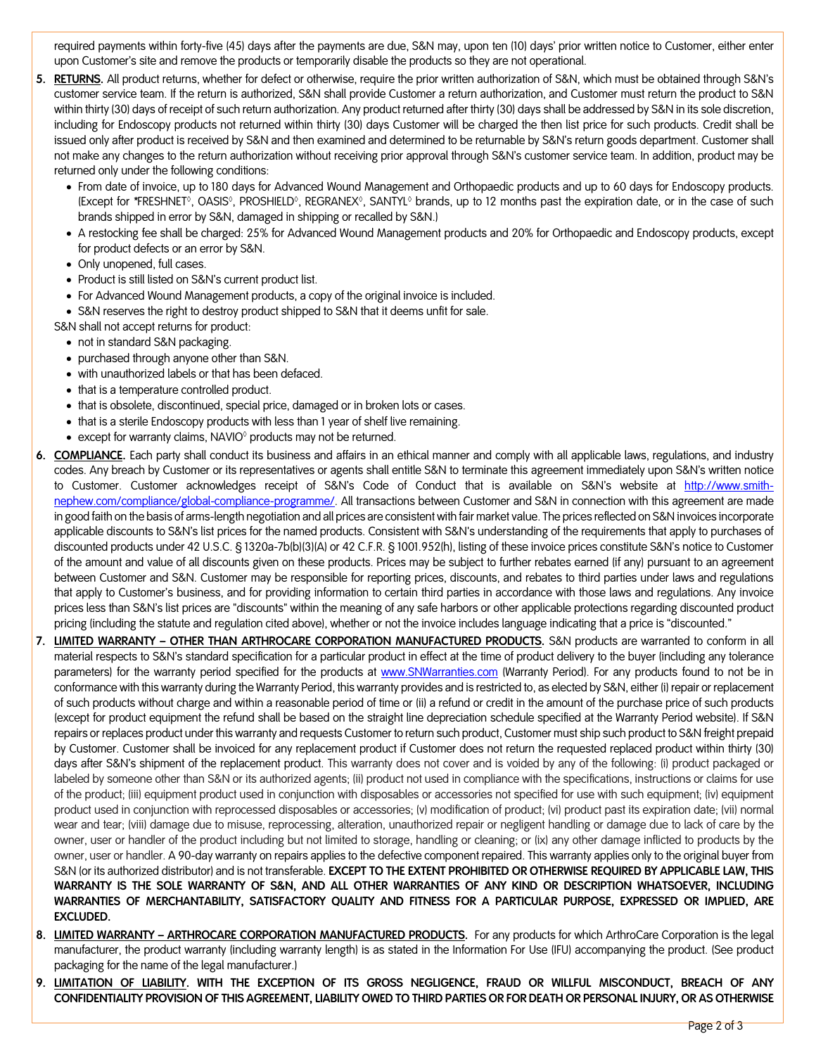required payments within forty-five (45) days after the payments are due, S&N may, upon ten (10) days' prior written notice to Customer, either enter upon Customer's site and remove the products or temporarily disable the products so they are not operational.

- **5. RETURNS.** All product returns, whether for defect or otherwise, require the prior written authorization of S&N, which must be obtained through S&N's customer service team. If the return is authorized, S&N shall provide Customer a return authorization, and Customer must return the product to S&N within thirty (30) days of receipt of such return authorization. Any product returned after thirty (30) days shall be addressed by S&N in its sole discretion, including for Endoscopy products not returned within thirty (30) days Customer will be charged the then list price for such products. Credit shall be issued only after product is received by S&N and then examined and determined to be returnable by S&N's return goods department. Customer shall not make any changes to the return authorization without receiving prior approval through S&N's customer service team. In addition, product may be returned only under the following conditions:
	- From date of invoice, up to 180 days for Advanced Wound Management and Orthopaedic products and up to 60 days for Endoscopy products. (Except for **\***FRESHNET◊, OASIS◊, PROSHIELD◊, REGRANEX◊, SANTYL◊ brands, up to 12 months past the expiration date, or in the case of such brands shipped in error by S&N, damaged in shipping or recalled by S&N.)
	- A restocking fee shall be charged: 25% for Advanced Wound Management products and 20% for Orthopaedic and Endoscopy products, except for product defects or an error by S&N.
	- Only unopened, full cases.
	- Product is still listed on S&N's current product list.
	- For Advanced Wound Management products, a copy of the original invoice is included.
	- S&N reserves the right to destroy product shipped to S&N that it deems unfit for sale.
	- S&N shall not accept returns for product:
		- not in standard S&N packaging.
		- purchased through anyone other than S&N.
		- with unauthorized labels or that has been defaced.
		- that is a temperature controlled product.
		- that is obsolete, discontinued, special price, damaged or in broken lots or cases.
		- that is a sterile Endoscopy products with less than 1 year of shelf live remaining.
		- except for warranty claims, NAVIO◊ products may not be returned.
- **6. COMPLIANCE.** Each party shall conduct its business and affairs in an ethical manner and comply with all applicable laws, regulations, and industry codes. Any breach by Customer or its representatives or agents shall entitle S&N to terminate this agreement immediately upon S&N's written notice to Customer. Customer acknowledges receipt of S&N's Code of Conduct that is available on S&N's website at [http://www.smith](http://www.smith-nephew.com/compliance/global-compliance-programme/)[nephew.com/compliance/global-compliance-programme/.](http://www.smith-nephew.com/compliance/global-compliance-programme/) All transactions between Customer and S&N in connection with this agreement are made in good faith on the basis of arms-length negotiation and all prices are consistent with fair market value. The prices reflected on S&N invoices incorporate applicable discounts to S&N's list prices for the named products. Consistent with S&N's understanding of the requirements that apply to purchases of discounted products under 42 U.S.C. § 1320a-7b(b)(3)(A) or 42 C.F.R. § 1001.952(h), listing of these invoice prices constitute S&N's notice to Customer of the amount and value of all discounts given on these products. Prices may be subject to further rebates earned (if any) pursuant to an agreement between Customer and S&N. Customer may be responsible for reporting prices, discounts, and rebates to third parties under laws and regulations that apply to Customer's business, and for providing information to certain third parties in accordance with those laws and regulations. Any invoice prices less than S&N's list prices are "discounts" within the meaning of any safe harbors or other applicable protections regarding discounted product pricing (including the statute and regulation cited above), whether or not the invoice includes language indicating that a price is "discounted."
- **7. LIMITED WARRANTY – OTHER THAN ARTHROCARE CORPORATION MANUFACTURED PRODUCTS.** S&N products are warranted to conform in all material respects to S&N's standard specification for a particular product in effect at the time of product delivery to the buyer (including any tolerance parameters) for the warranty period specified for the products at [www.SNWarranties.com](http://www.snwarranties.com/) (Warranty Period). For any products found to not be in conformance with this warranty during the Warranty Period, this warranty provides and is restricted to, as elected by S&N, either (i) repair or replacement of such products without charge and within a reasonable period of time or (ii) a refund or credit in the amount of the purchase price of such products (except for product equipment the refund shall be based on the straight line depreciation schedule specified at the Warranty Period website). If S&N repairs or replaces product under this warranty and requests Customer to return such product, Customer must ship such product to S&N freight prepaid by Customer. Customer shall be invoiced for any replacement product if Customer does not return the requested replaced product within thirty (30) days after S&N's shipment of the replacement product. This warranty does not cover and is voided by any of the following: (i) product packaged or labeled by someone other than S&N or its authorized agents; (ii) product not used in compliance with the specifications, instructions or claims for use of the product; (iii) equipment product used in conjunction with disposables or accessories not specified for use with such equipment; (iv) equipment product used in conjunction with reprocessed disposables or accessories; (v) modification of product; (vi) product past its expiration date; (vii) normal wear and tear; (viii) damage due to misuse, reprocessing, alteration, unauthorized repair or negligent handling or damage due to lack of care by the owner, user or handler of the product including but not limited to storage, handling or cleaning; or (ix) any other damage inflicted to products by the owner, user or handler. A 90-day warranty on repairs applies to the defective component repaired. This warranty applies only to the original buyer from S&N (or its authorized distributor) and is not transferable. **EXCEPT TO THE EXTENT PROHIBITED OR OTHERWISE REQUIRED BY APPLICABLE LAW, THIS WARRANTY IS THE SOLE WARRANTY OF S&N, AND ALL OTHER WARRANTIES OF ANY KIND OR DESCRIPTION WHATSOEVER, INCLUDING WARRANTIES OF MERCHANTABILITY, SATISFACTORY QUALITY AND FITNESS FOR A PARTICULAR PURPOSE, EXPRESSED OR IMPLIED, ARE EXCLUDED.**
- **8. LIMITED WARRANTY – ARTHROCARE CORPORATION MANUFACTURED PRODUCTS.** For any products for which ArthroCare Corporation is the legal manufacturer, the product warranty (including warranty length) is as stated in the Information For Use (IFU) accompanying the product. (See product packaging for the name of the legal manufacturer.)
- **9. LIMITATION OF LIABILITY. WITH THE EXCEPTION OF ITS GROSS NEGLIGENCE, FRAUD OR WILLFUL MISCONDUCT, BREACH OF ANY CONFIDENTIALITY PROVISION OF THIS AGREEMENT, LIABILITY OWED TO THIRD PARTIES OR FOR DEATH OR PERSONAL INJURY, OR AS OTHERWISE**